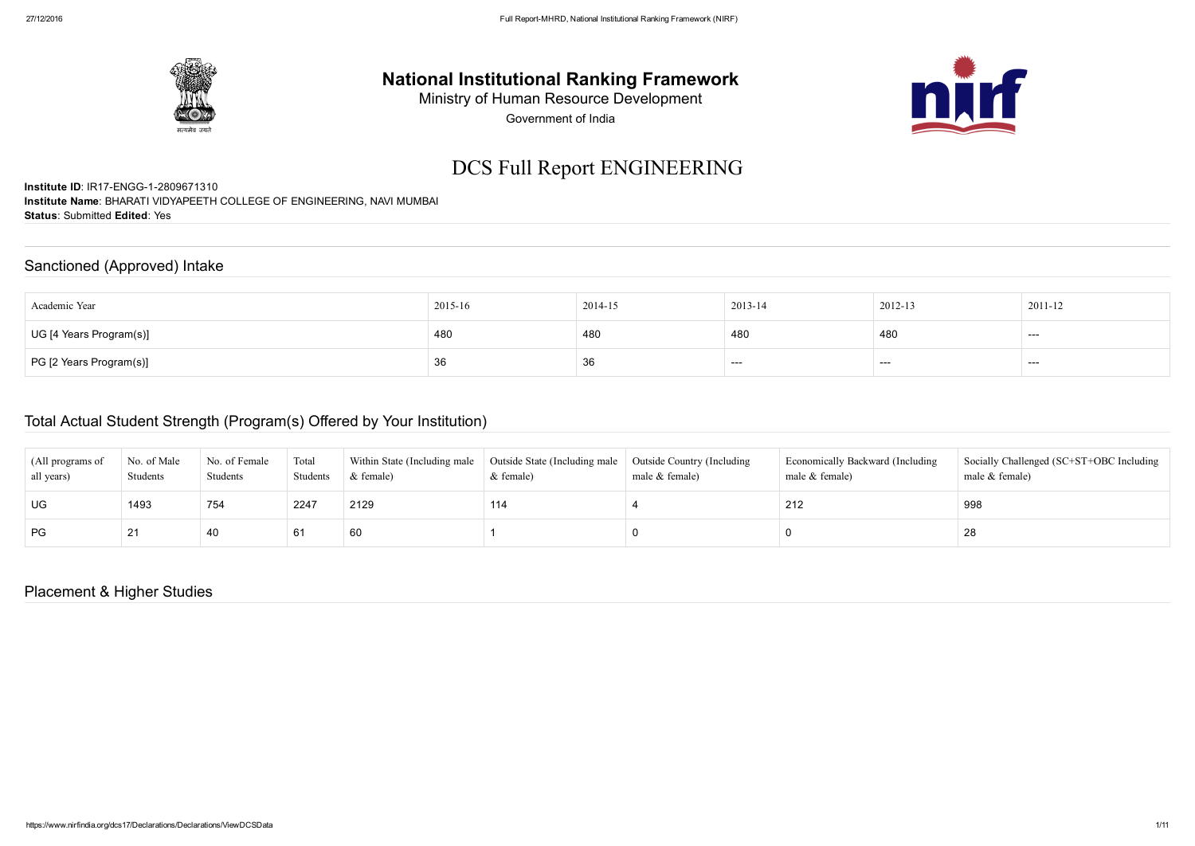

## National Institutional Ranking Framework

Ministry of Human Resource Development

Government of India

# DCS Full Report ENGINEERING

Institute ID: IR17-ENGG-1-2809671310 Institute Name: BHARATI VIDYAPEETH COLLEGE OF ENGINEERING, NAVI MUMBAI Status: Submitted Edited: Yes

#### Sanctioned (Approved) Intake

| Academic Year                  | 2015-16 | 2014-15 | 2013-14 | 2012-13 | 2011-12 |
|--------------------------------|---------|---------|---------|---------|---------|
| UG [4 Years Program(s)]        | 480     | 480     | 480     | 480     | ---     |
| $\mid$ PG [2 Years Program(s)] | 36      | 36      | ---     | ----    | ---     |

#### Total Actual Student Strength (Program(s) Offered by Your Institution)

| (All programs of<br>all years) | No. of Male<br>Students | No. of Female<br>Students | Total<br>Students | Within State (Including male<br>$&$ female) | Outside State (Including male   Outside Country (Including<br>& female) | male & female) | Economically Backward (Including<br>male & female) | Socially Challenged (SC+ST+OBC Including<br>male & female) |
|--------------------------------|-------------------------|---------------------------|-------------------|---------------------------------------------|-------------------------------------------------------------------------|----------------|----------------------------------------------------|------------------------------------------------------------|
| UG                             | 1493                    | 754                       | 2247              | 2129                                        | 114                                                                     |                | 212                                                | 998                                                        |
| PG                             | 21                      | 40                        | -6                | 60                                          |                                                                         |                |                                                    | 28                                                         |

#### Placement & Higher Studies

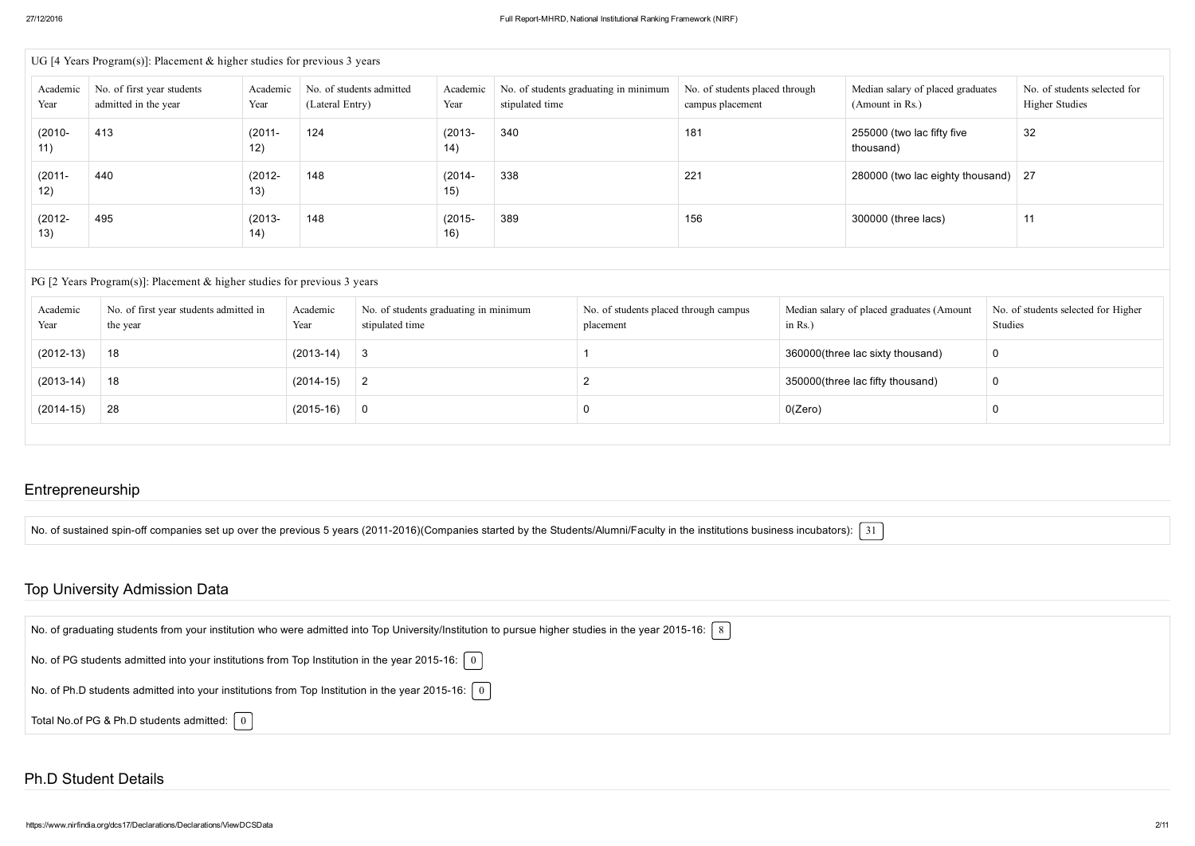|                   | UG [4 Years Program(s)]: Placement $&$ higher studies for previous 3 years |                  |                                             |                   |                                                          |                                                    |                                                      |                                                       |  |  |  |  |
|-------------------|----------------------------------------------------------------------------|------------------|---------------------------------------------|-------------------|----------------------------------------------------------|----------------------------------------------------|------------------------------------------------------|-------------------------------------------------------|--|--|--|--|
| Academic<br>Year  | No. of first year students<br>admitted in the year                         | Academic<br>Year | No. of students admitted<br>(Lateral Entry) | Academic<br>Year  | No. of students graduating in minimum<br>stipulated time | No. of students placed through<br>campus placement | Median salary of placed graduates<br>(Amount in Rs.) | No. of students selected for<br><b>Higher Studies</b> |  |  |  |  |
| $(2010 -$<br>11)  | 413                                                                        | $(2011 -$<br>12) | 124                                         | $(2013 -$<br>(14) | 340                                                      | 181                                                | 255000 (two lac fifty five<br>thousand)              | 32                                                    |  |  |  |  |
| $(2011 -$<br>12)  | 440                                                                        | $(2012 -$<br>13) | 148                                         | $(2014 -$<br>15)  | 338                                                      | 221                                                | 280000 (two lac eighty thousand) $\vert$ 27          |                                                       |  |  |  |  |
| $(2012 -$<br>(13) | 495                                                                        | $(2013 -$<br>14) | 148                                         | $(2015 -$<br>16)  | 389                                                      | 156                                                | 300000 (three lacs)                                  | 11                                                    |  |  |  |  |

#### PG [2 Years Program(s)]: Placement & higher studies for previous 3 years

| Academic<br>Year | No. of first year students admitted in<br>the year | Academic<br>Year | No. of students graduating in minimum<br>stipulated time | No. of students placed through campus<br>placement | Median salary of placed graduates (Amount<br>in $Rs.$ ) | No. of students selected for Higher<br>Studies |
|------------------|----------------------------------------------------|------------------|----------------------------------------------------------|----------------------------------------------------|---------------------------------------------------------|------------------------------------------------|
| $(2012-13)$      | 18                                                 | $(2013-14)$      |                                                          |                                                    | 360000(three lac sixty thousand)                        | 0                                              |
| $(2013-14)$      | 18                                                 | $(2014-15)$      |                                                          |                                                    | 350000(three lac fifty thousand)                        | 0                                              |
| $(2014-15)$      | 28                                                 | $(2015-16)$      |                                                          |                                                    | 0(Zero)                                                 |                                                |
|                  |                                                    |                  |                                                          |                                                    |                                                         |                                                |

#### Entrepreneurship

No. of sustained spin-off companies set up over the previous 5 years (2011-2016)(Companies started by the Students/Alumni/Faculty in the institutions business incubators):  $\lceil 31 \rceil$ 

#### Top University Admission Data

| No. of graduating students from your institution who were admitted into Top University/Institution to pursue higher studies in the year 2015-16: $ 8 $ |
|--------------------------------------------------------------------------------------------------------------------------------------------------------|
| No. of PG students admitted into your institutions from Top Institution in the year 2015-16: $\begin{bmatrix} 0 \end{bmatrix}$                         |
| No. of Ph.D students admitted into your institutions from Top Institution in the year 2015-16: $\mid 0 \mid$                                           |
| Total No.of PG & Ph.D students admitted: $\begin{bmatrix} 0 \end{bmatrix}$                                                                             |

#### Ph.D Student Details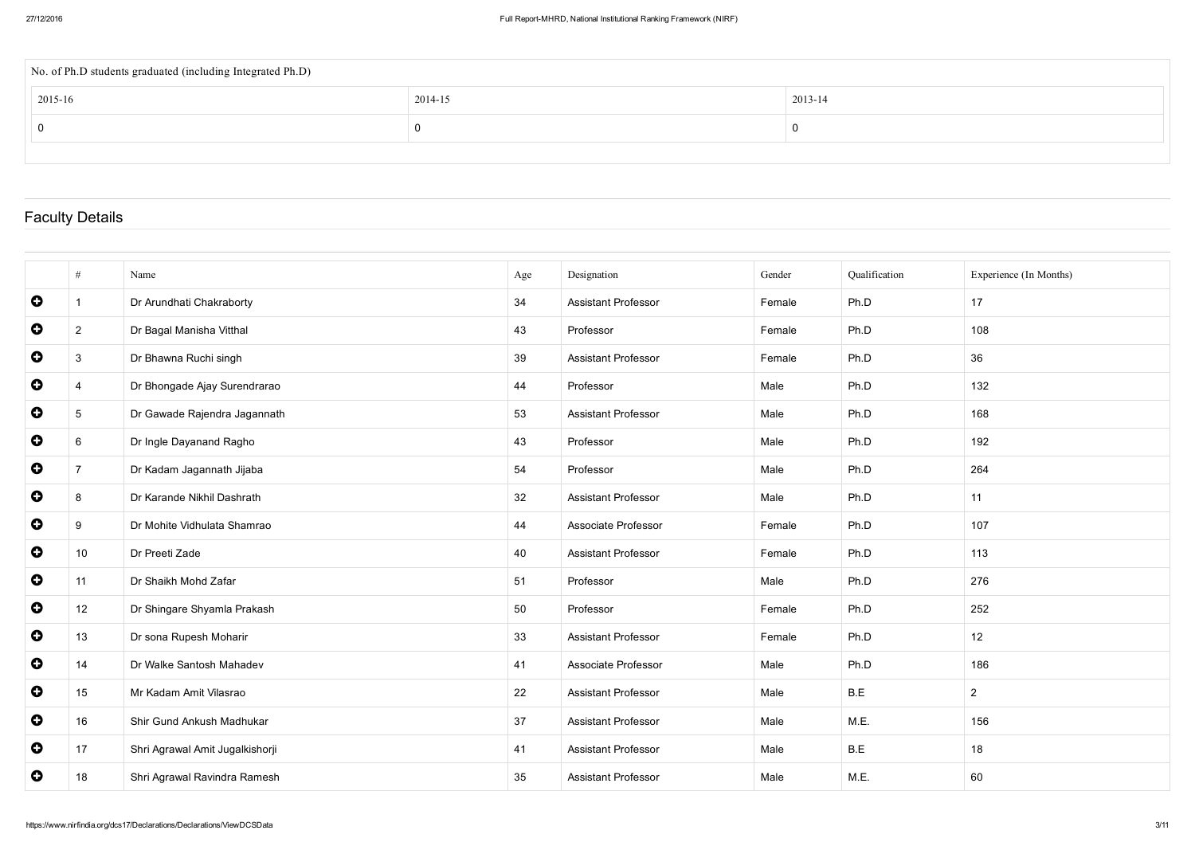| No. of Ph.D students graduated (including Integrated Ph.D) |         |         |  |  |  |  |  |  |
|------------------------------------------------------------|---------|---------|--|--|--|--|--|--|
| 2015-16                                                    | 2014-15 | 2013-14 |  |  |  |  |  |  |
|                                                            | U       | 0       |  |  |  |  |  |  |
|                                                            |         |         |  |  |  |  |  |  |

### Faculty Details

|           | #               | Name                            | Age | Designation                | Gender | Qualification | Experience (In Months) |
|-----------|-----------------|---------------------------------|-----|----------------------------|--------|---------------|------------------------|
| $\bullet$ |                 | Dr Arundhati Chakraborty        | 34  | <b>Assistant Professor</b> | Female | Ph.D          | 17                     |
| $\bullet$ | $\overline{2}$  | Dr Bagal Manisha Vitthal        | 43  | Professor                  | Female | Ph.D          | 108                    |
| $\bullet$ | $\mathbf{3}$    | Dr Bhawna Ruchi singh           | 39  | <b>Assistant Professor</b> | Female | Ph.D          | 36                     |
| $\bullet$ | 4               | Dr Bhongade Ajay Surendrarao    | 44  | Professor                  | Male   | Ph.D          | 132                    |
| $\bullet$ | $5\phantom{.0}$ | Dr Gawade Rajendra Jagannath    | 53  | <b>Assistant Professor</b> | Male   | Ph.D          | 168                    |
| $\bullet$ | $6\phantom{.}6$ | Dr Ingle Dayanand Ragho         | 43  | Professor                  | Male   | Ph.D          | 192                    |
| $\bullet$ | $\overline{7}$  | Dr Kadam Jagannath Jijaba       | 54  | Professor                  | Male   | Ph.D          | 264                    |
| $\bullet$ | 8               | Dr Karande Nikhil Dashrath      | 32  | <b>Assistant Professor</b> | Male   | Ph.D          | 11                     |
| $\bullet$ | 9               | Dr Mohite Vidhulata Shamrao     | 44  | Associate Professor        | Female | Ph.D          | 107                    |
| $\bullet$ | 10 <sup>°</sup> | Dr Preeti Zade                  | 40  | <b>Assistant Professor</b> | Female | Ph.D          | 113                    |
| $\bullet$ | 11              | Dr Shaikh Mohd Zafar            | 51  | Professor                  | Male   | Ph.D          | 276                    |
| $\bullet$ | 12              | Dr Shingare Shyamla Prakash     | 50  | Professor                  | Female | Ph.D          | 252                    |
| $\bullet$ | 13              | Dr sona Rupesh Moharir          | 33  | <b>Assistant Professor</b> | Female | Ph.D          | 12                     |
| $\bullet$ | 14              | Dr Walke Santosh Mahadev        | 41  | Associate Professor        | Male   | Ph.D          | 186                    |
| $\bullet$ | 15              | Mr Kadam Amit Vilasrao          | 22  | <b>Assistant Professor</b> | Male   | B.E           | $\overline{2}$         |
| $\bullet$ | 16              | Shir Gund Ankush Madhukar       | 37  | <b>Assistant Professor</b> | Male   | M.E.          | 156                    |
| $\bullet$ | 17              | Shri Agrawal Amit Jugalkishorji | 41  | Assistant Professor        | Male   | B.E           | 18                     |
| $\bullet$ | 18              | Shri Agrawal Ravindra Ramesh    | 35  | Assistant Professor        | Male   | M.E.          | 60                     |
|           |                 |                                 |     |                            |        |               |                        |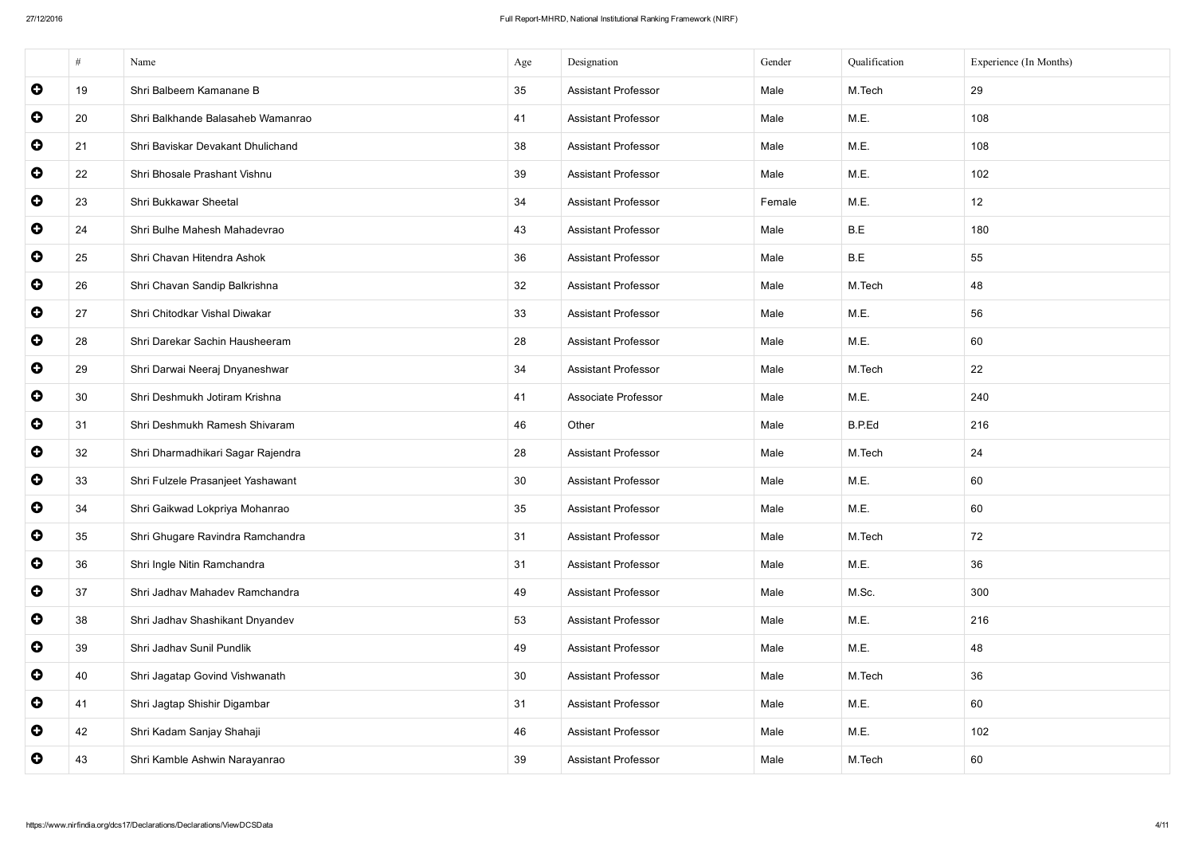|           | #  | Name                              | Age | Designation                | Gender | Qualification | Experience (In Months) |
|-----------|----|-----------------------------------|-----|----------------------------|--------|---------------|------------------------|
| $\bullet$ | 19 | Shri Balbeem Kamanane B           | 35  | <b>Assistant Professor</b> | Male   | M.Tech        | 29                     |
| $\bullet$ | 20 | Shri Balkhande Balasaheb Wamanrao | 41  | <b>Assistant Professor</b> | Male   | M.E.          | 108                    |
| $\bullet$ | 21 | Shri Baviskar Devakant Dhulichand | 38  | <b>Assistant Professor</b> | Male   | M.E.          | 108                    |
| $\bullet$ | 22 | Shri Bhosale Prashant Vishnu      | 39  | <b>Assistant Professor</b> | Male   | M.E.          | 102                    |
| $\bullet$ | 23 | Shri Bukkawar Sheetal             | 34  | <b>Assistant Professor</b> | Female | M.E.          | 12                     |
| $\bullet$ | 24 | Shri Bulhe Mahesh Mahadevrao      | 43  | <b>Assistant Professor</b> | Male   | B.E           | 180                    |
| $\bullet$ | 25 | Shri Chavan Hitendra Ashok        | 36  | <b>Assistant Professor</b> | Male   | B.E           | 55                     |
| $\bullet$ | 26 | Shri Chavan Sandip Balkrishna     | 32  | <b>Assistant Professor</b> | Male   | M.Tech        | 48                     |
| $\bullet$ | 27 | Shri Chitodkar Vishal Diwakar     | 33  | <b>Assistant Professor</b> | Male   | M.E.          | 56                     |
| $\bullet$ | 28 | Shri Darekar Sachin Hausheeram    | 28  | <b>Assistant Professor</b> | Male   | M.E.          | 60                     |
| $\bullet$ | 29 | Shri Darwai Neeraj Dnyaneshwar    | 34  | <b>Assistant Professor</b> | Male   | M.Tech        | 22                     |
| $\bullet$ | 30 | Shri Deshmukh Jotiram Krishna     | 41  | Associate Professor        | Male   | M.E.          | 240                    |
| $\bullet$ | 31 | Shri Deshmukh Ramesh Shivaram     | 46  | Other                      | Male   | B.P.Ed        | 216                    |
| $\bullet$ | 32 | Shri Dharmadhikari Sagar Rajendra | 28  | <b>Assistant Professor</b> | Male   | M.Tech        | 24                     |
| $\bullet$ | 33 | Shri Fulzele Prasanjeet Yashawant | 30  | <b>Assistant Professor</b> | Male   | M.E.          | 60                     |
| $\bullet$ | 34 | Shri Gaikwad Lokpriya Mohanrao    | 35  | <b>Assistant Professor</b> | Male   | M.E.          | 60                     |
| $\bullet$ | 35 | Shri Ghugare Ravindra Ramchandra  | 31  | <b>Assistant Professor</b> | Male   | M.Tech        | 72                     |
| $\bullet$ | 36 | Shri Ingle Nitin Ramchandra       | 31  | <b>Assistant Professor</b> | Male   | M.E.          | 36                     |
| $\bullet$ | 37 | Shri Jadhav Mahadev Ramchandra    | 49  | <b>Assistant Professor</b> | Male   | M.Sc.         | 300                    |
| $\bullet$ | 38 | Shri Jadhav Shashikant Dnyandev   | 53  | <b>Assistant Professor</b> | Male   | M.E.          | 216                    |
| $\bullet$ | 39 | Shri Jadhav Sunil Pundlik         | 49  | <b>Assistant Professor</b> | Male   | M.E.          | 48                     |
| $\bullet$ | 40 | Shri Jagatap Govind Vishwanath    | 30  | <b>Assistant Professor</b> | Male   | M.Tech        | 36                     |
| $\bullet$ | 41 | Shri Jagtap Shishir Digambar      | 31  | <b>Assistant Professor</b> | Male   | M.E.          | 60                     |
| $\bullet$ | 42 | Shri Kadam Sanjay Shahaji         | 46  | <b>Assistant Professor</b> | Male   | M.E.          | 102                    |
| $\bullet$ | 43 | Shri Kamble Ashwin Narayanrao     | 39  | <b>Assistant Professor</b> | Male   | M.Tech        | 60                     |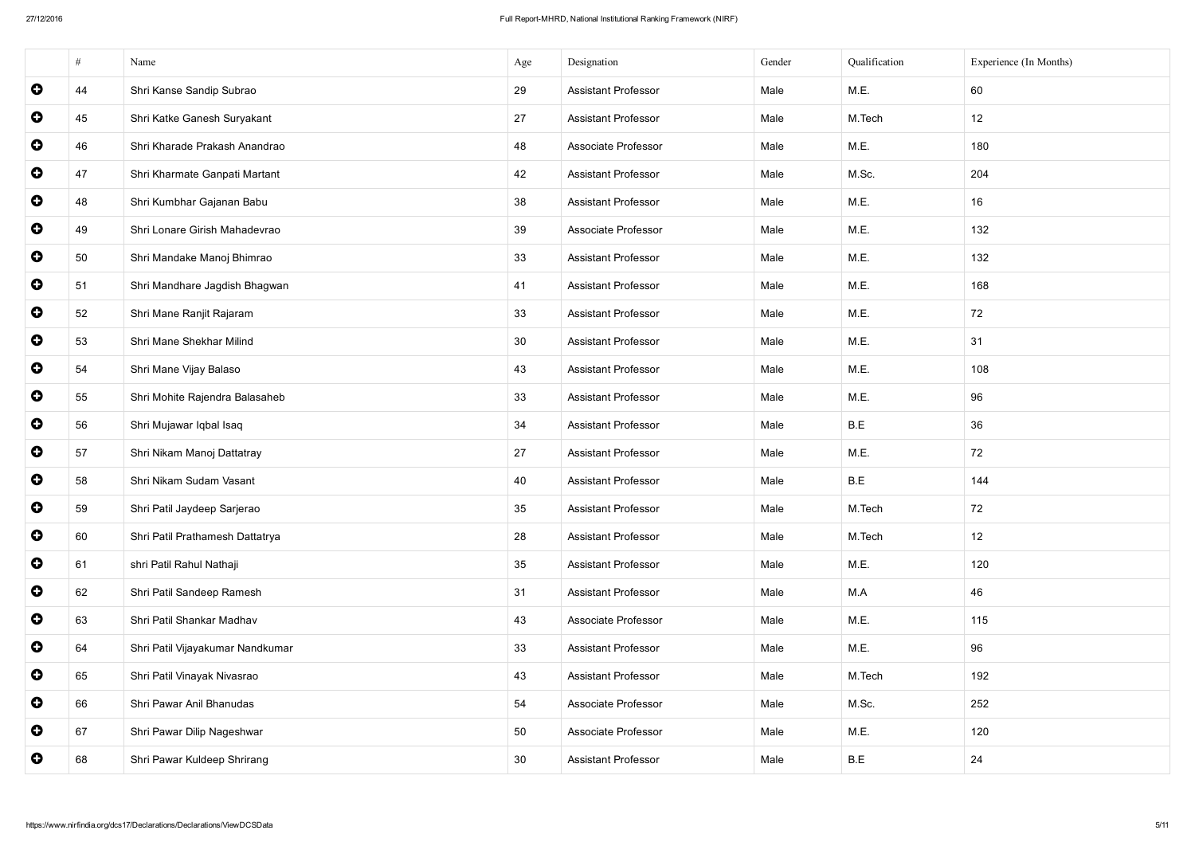|           | #  | Name                             | Age | Designation                | Gender | Qualification | Experience (In Months) |
|-----------|----|----------------------------------|-----|----------------------------|--------|---------------|------------------------|
| $\bullet$ | 44 | Shri Kanse Sandip Subrao         | 29  | <b>Assistant Professor</b> | Male   | M.E.          | 60                     |
| $\bullet$ | 45 | Shri Katke Ganesh Suryakant      | 27  | <b>Assistant Professor</b> | Male   | M.Tech        | 12                     |
| $\bullet$ | 46 | Shri Kharade Prakash Anandrao    | 48  | Associate Professor        | Male   | M.E.          | 180                    |
| $\bullet$ | 47 | Shri Kharmate Ganpati Martant    | 42  | <b>Assistant Professor</b> | Male   | M.Sc.         | 204                    |
| $\bullet$ | 48 | Shri Kumbhar Gajanan Babu        | 38  | <b>Assistant Professor</b> | Male   | M.E.          | 16                     |
| $\bullet$ | 49 | Shri Lonare Girish Mahadevrao    | 39  | Associate Professor        | Male   | M.E.          | 132                    |
| $\bullet$ | 50 | Shri Mandake Manoj Bhimrao       | 33  | <b>Assistant Professor</b> | Male   | M.E.          | 132                    |
| $\bullet$ | 51 | Shri Mandhare Jagdish Bhagwan    | 41  | <b>Assistant Professor</b> | Male   | M.E.          | 168                    |
| $\bullet$ | 52 | Shri Mane Ranjit Rajaram         | 33  | <b>Assistant Professor</b> | Male   | M.E.          | 72                     |
| $\bullet$ | 53 | Shri Mane Shekhar Milind         | 30  | <b>Assistant Professor</b> | Male   | M.E.          | 31                     |
| $\bullet$ | 54 | Shri Mane Vijay Balaso           | 43  | <b>Assistant Professor</b> | Male   | M.E.          | 108                    |
| $\bullet$ | 55 | Shri Mohite Rajendra Balasaheb   | 33  | <b>Assistant Professor</b> | Male   | M.E.          | 96                     |
| $\bullet$ | 56 | Shri Mujawar Iqbal Isaq          | 34  | <b>Assistant Professor</b> | Male   | B.E           | 36                     |
| $\bullet$ | 57 | Shri Nikam Manoj Dattatray       | 27  | <b>Assistant Professor</b> | Male   | M.E.          | 72                     |
| $\bullet$ | 58 | Shri Nikam Sudam Vasant          | 40  | <b>Assistant Professor</b> | Male   | B.E           | 144                    |
| $\bullet$ | 59 | Shri Patil Jaydeep Sarjerao      | 35  | <b>Assistant Professor</b> | Male   | M.Tech        | 72                     |
| $\bullet$ | 60 | Shri Patil Prathamesh Dattatrya  | 28  | <b>Assistant Professor</b> | Male   | M.Tech        | 12                     |
| $\bullet$ | 61 | shri Patil Rahul Nathaji         | 35  | <b>Assistant Professor</b> | Male   | M.E.          | 120                    |
| $\bullet$ | 62 | Shri Patil Sandeep Ramesh        | 31  | <b>Assistant Professor</b> | Male   | M.A           | 46                     |
| $\bullet$ | 63 | Shri Patil Shankar Madhav        | 43  | Associate Professor        | Male   | M.E.          | 115                    |
| $\bullet$ | 64 | Shri Patil Vijayakumar Nandkumar | 33  | <b>Assistant Professor</b> | Male   | M.E.          | 96                     |
| $\bullet$ | 65 | Shri Patil Vinayak Nivasrao      | 43  | <b>Assistant Professor</b> | Male   | M.Tech        | 192                    |
| $\bullet$ | 66 | Shri Pawar Anil Bhanudas         | 54  | Associate Professor        | Male   | M.Sc.         | 252                    |
| $\bullet$ | 67 | Shri Pawar Dilip Nageshwar       | 50  | Associate Professor        | Male   | M.E.          | 120                    |
| $\bullet$ | 68 | Shri Pawar Kuldeep Shrirang      | 30  | <b>Assistant Professor</b> | Male   | B.E           | 24                     |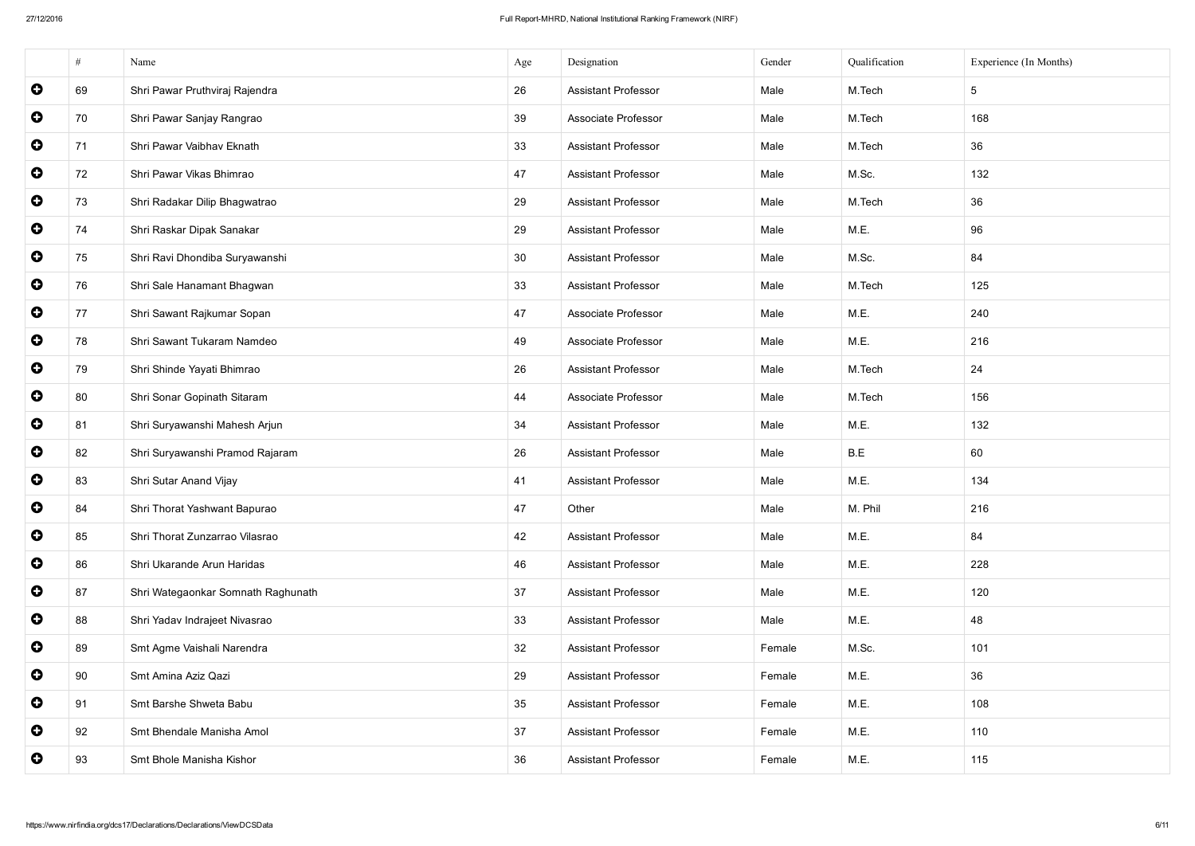|           | #  | Name                               | Age             | Designation                | Gender | Qualification | Experience (In Months) |
|-----------|----|------------------------------------|-----------------|----------------------------|--------|---------------|------------------------|
| $\bullet$ | 69 | Shri Pawar Pruthviraj Rajendra     | 26              | <b>Assistant Professor</b> | Male   | M.Tech        | $5\phantom{.0}$        |
| $\bullet$ | 70 | Shri Pawar Sanjay Rangrao          | 39              | <b>Associate Professor</b> | Male   | M.Tech        | 168                    |
| $\bullet$ | 71 | Shri Pawar Vaibhav Eknath          | 33              | <b>Assistant Professor</b> | Male   | M.Tech        | 36                     |
| $\bullet$ | 72 | Shri Pawar Vikas Bhimrao           | 47              | <b>Assistant Professor</b> | Male   | M.Sc.         | 132                    |
| $\bullet$ | 73 | Shri Radakar Dilip Bhagwatrao      | 29              | <b>Assistant Professor</b> | Male   | M.Tech        | 36                     |
| $\bullet$ | 74 | Shri Raskar Dipak Sanakar          | 29              | <b>Assistant Professor</b> | Male   | M.E.          | 96                     |
| $\bullet$ | 75 | Shri Ravi Dhondiba Suryawanshi     | 30 <sup>°</sup> | <b>Assistant Professor</b> | Male   | M.Sc.         | 84                     |
| $\bullet$ | 76 | Shri Sale Hanamant Bhagwan         | 33              | <b>Assistant Professor</b> | Male   | M.Tech        | 125                    |
| $\bullet$ | 77 | Shri Sawant Rajkumar Sopan         | 47              | Associate Professor        | Male   | M.E.          | 240                    |
| $\bullet$ | 78 | Shri Sawant Tukaram Namdeo         | 49              | Associate Professor        | Male   | M.E.          | 216                    |
| $\bullet$ | 79 | Shri Shinde Yayati Bhimrao         | 26              | <b>Assistant Professor</b> | Male   | M.Tech        | 24                     |
| $\bullet$ | 80 | Shri Sonar Gopinath Sitaram        | 44              | <b>Associate Professor</b> | Male   | M.Tech        | 156                    |
| $\bullet$ | 81 | Shri Suryawanshi Mahesh Arjun      | 34              | <b>Assistant Professor</b> | Male   | M.E.          | 132                    |
| $\bullet$ | 82 | Shri Suryawanshi Pramod Rajaram    | 26              | <b>Assistant Professor</b> | Male   | B.E           | 60                     |
| $\bullet$ | 83 | Shri Sutar Anand Vijay             | 41              | <b>Assistant Professor</b> | Male   | M.E.          | 134                    |
| $\bullet$ | 84 | Shri Thorat Yashwant Bapurao       | 47              | Other                      | Male   | M. Phil       | 216                    |
| $\bullet$ | 85 | Shri Thorat Zunzarrao Vilasrao     | 42              | <b>Assistant Professor</b> | Male   | M.E.          | 84                     |
| $\bullet$ | 86 | Shri Ukarande Arun Haridas         | 46              | <b>Assistant Professor</b> | Male   | M.E.          | 228                    |
| $\bullet$ | 87 | Shri Wategaonkar Somnath Raghunath | 37              | <b>Assistant Professor</b> | Male   | M.E.          | 120                    |
| $\bullet$ | 88 | Shri Yadav Indrajeet Nivasrao      | 33              | <b>Assistant Professor</b> | Male   | M.E.          | 48                     |
| $\bullet$ | 89 | Smt Agme Vaishali Narendra         | 32 <sub>2</sub> | <b>Assistant Professor</b> | Female | M.Sc.         | 101                    |
| $\bullet$ | 90 | Smt Amina Aziz Qazi                | 29              | <b>Assistant Professor</b> | Female | M.E.          | 36                     |
| $\bullet$ | 91 | Smt Barshe Shweta Babu             | 35              | <b>Assistant Professor</b> | Female | M.E.          | 108                    |
| $\bullet$ | 92 | Smt Bhendale Manisha Amol          | 37              | <b>Assistant Professor</b> | Female | M.E.          | 110                    |
| $\bullet$ | 93 | Smt Bhole Manisha Kishor           | 36              | <b>Assistant Professor</b> | Female | M.E.          | 115                    |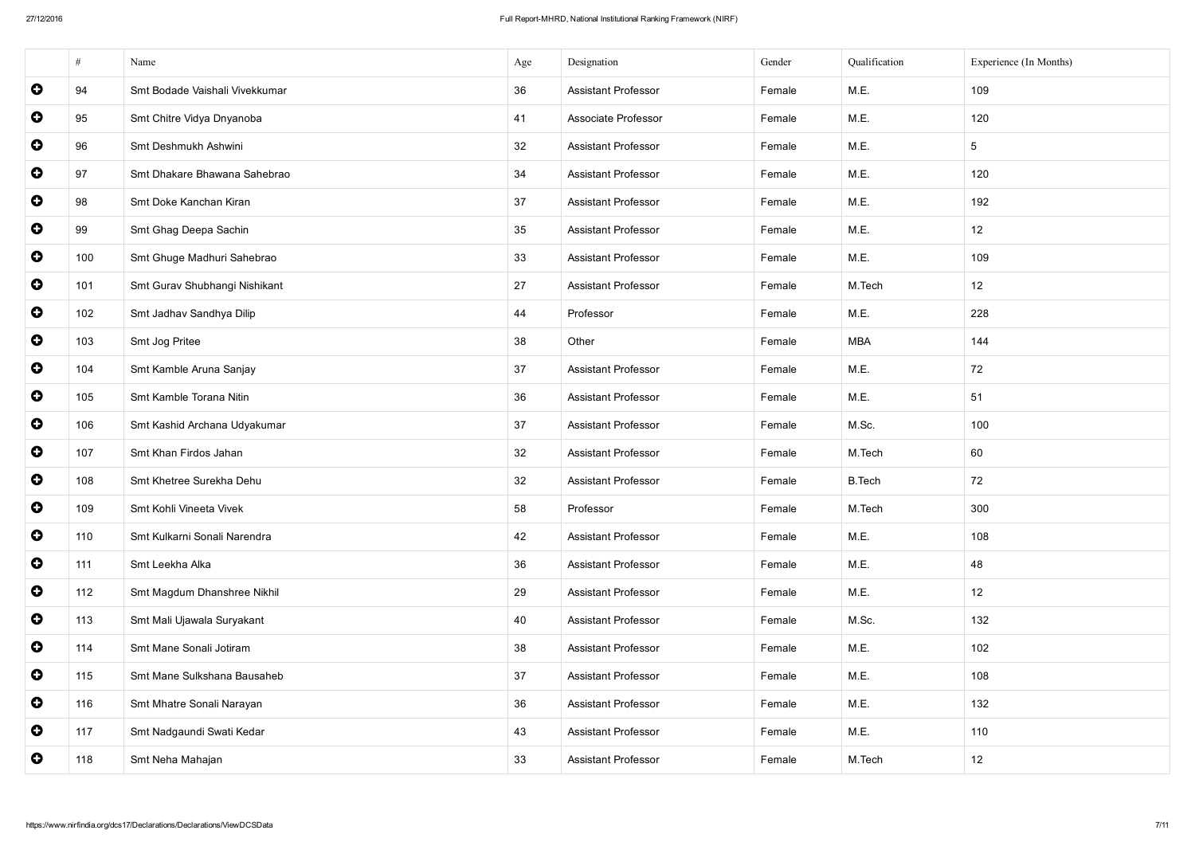|           | #   | Name                           | Age | Designation                | Gender | Qualification | Experience (In Months) |
|-----------|-----|--------------------------------|-----|----------------------------|--------|---------------|------------------------|
| $\bullet$ | 94  | Smt Bodade Vaishali Vivekkumar | 36  | <b>Assistant Professor</b> | Female | M.E.          | 109                    |
| $\bullet$ | 95  | Smt Chitre Vidya Dnyanoba      | 41  | Associate Professor        | Female | M.E.          | 120                    |
| $\bullet$ | 96  | Smt Deshmukh Ashwini           | 32  | <b>Assistant Professor</b> | Female | M.E.          | $5\overline{)}$        |
| $\bullet$ | 97  | Smt Dhakare Bhawana Sahebrao   | 34  | <b>Assistant Professor</b> | Female | M.E.          | 120                    |
| $\bullet$ | 98  | Smt Doke Kanchan Kiran         | 37  | <b>Assistant Professor</b> | Female | M.E.          | 192                    |
| $\bullet$ | 99  | Smt Ghag Deepa Sachin          | 35  | <b>Assistant Professor</b> | Female | M.E.          | 12                     |
| $\bullet$ | 100 | Smt Ghuge Madhuri Sahebrao     | 33  | <b>Assistant Professor</b> | Female | M.E.          | 109                    |
| $\bullet$ | 101 | Smt Gurav Shubhangi Nishikant  | 27  | <b>Assistant Professor</b> | Female | M.Tech        | 12                     |
| $\bullet$ | 102 | Smt Jadhav Sandhya Dilip       | 44  | Professor                  | Female | M.E.          | 228                    |
| $\bullet$ | 103 | Smt Jog Pritee                 | 38  | Other                      | Female | <b>MBA</b>    | 144                    |
| $\bullet$ | 104 | Smt Kamble Aruna Sanjay        | 37  | <b>Assistant Professor</b> | Female | M.E.          | 72                     |
| $\bullet$ | 105 | Smt Kamble Torana Nitin        | 36  | <b>Assistant Professor</b> | Female | M.E.          | 51                     |
| $\bullet$ | 106 | Smt Kashid Archana Udyakumar   | 37  | <b>Assistant Professor</b> | Female | M.Sc.         | 100                    |
| $\bullet$ | 107 | Smt Khan Firdos Jahan          | 32  | <b>Assistant Professor</b> | Female | M.Tech        | 60                     |
| $\bullet$ | 108 | Smt Khetree Surekha Dehu       | 32  | <b>Assistant Professor</b> | Female | <b>B.Tech</b> | 72                     |
| $\bullet$ | 109 | Smt Kohli Vineeta Vivek        | 58  | Professor                  | Female | M.Tech        | 300                    |
| $\bullet$ | 110 | Smt Kulkarni Sonali Narendra   | 42  | <b>Assistant Professor</b> | Female | M.E.          | 108                    |
| $\bullet$ | 111 | Smt Leekha Alka                | 36  | <b>Assistant Professor</b> | Female | M.E.          | 48                     |
| $\bullet$ | 112 | Smt Magdum Dhanshree Nikhil    | 29  | <b>Assistant Professor</b> | Female | M.E.          | 12                     |
| $\bullet$ | 113 | Smt Mali Ujawala Suryakant     | 40  | <b>Assistant Professor</b> | Female | M.Sc.         | 132                    |
| $\bullet$ | 114 | Smt Mane Sonali Jotiram        | 38  | <b>Assistant Professor</b> | Female | M.E.          | 102                    |
| $\bullet$ | 115 | Smt Mane Sulkshana Bausaheb    | 37  | <b>Assistant Professor</b> | Female | M.E.          | 108                    |
| $\bullet$ | 116 | Smt Mhatre Sonali Narayan      | 36  | <b>Assistant Professor</b> | Female | M.E.          | 132                    |
| $\bullet$ | 117 | Smt Nadgaundi Swati Kedar      | 43  | <b>Assistant Professor</b> | Female | M.E.          | 110                    |
| $\bullet$ | 118 | Smt Neha Mahajan               | 33  | <b>Assistant Professor</b> | Female | M.Tech        | 12                     |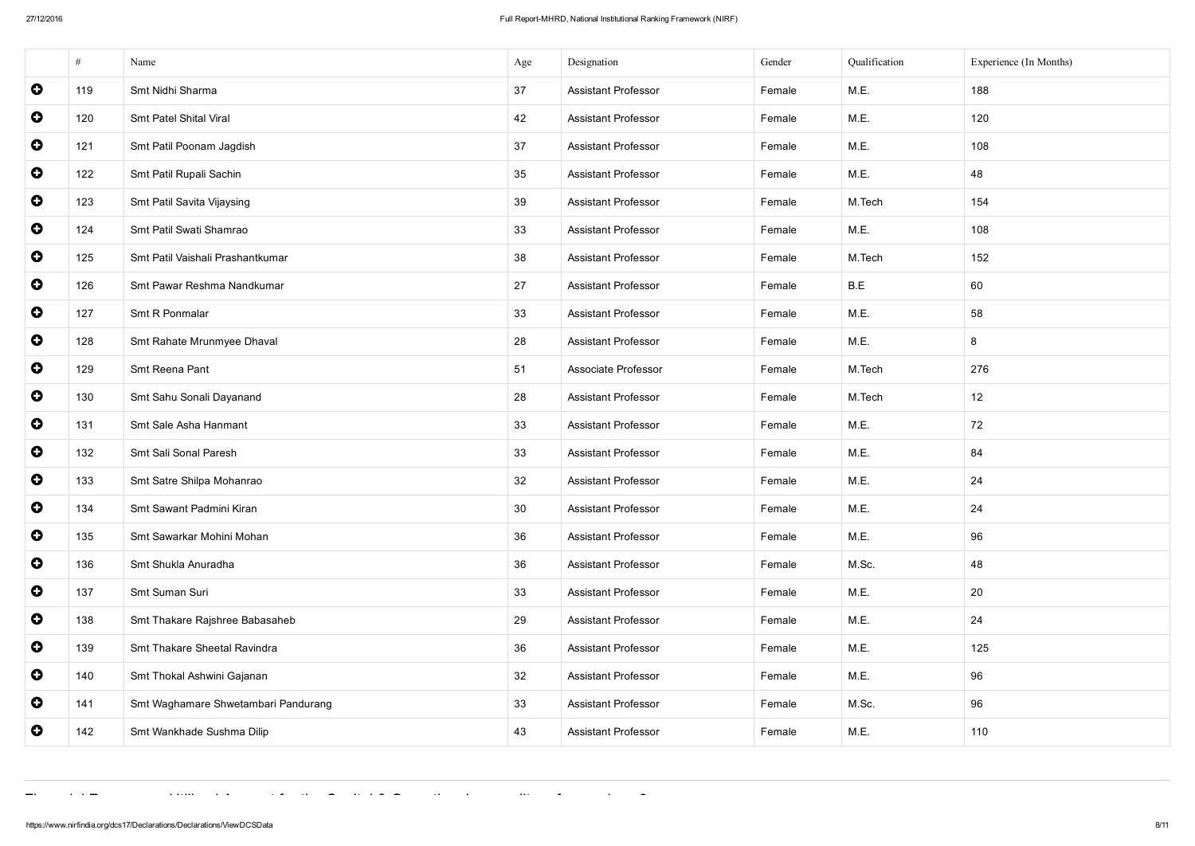|           | #   | Name                                | Age             | Designation                | Gender | Qualification | Experience (In Months) |
|-----------|-----|-------------------------------------|-----------------|----------------------------|--------|---------------|------------------------|
| $\bullet$ | 119 | Smt Nidhi Sharma                    | 37              | <b>Assistant Professor</b> | Female | M.E.          | 188                    |
| $\bullet$ | 120 | Smt Patel Shital Viral              | 42              | <b>Assistant Professor</b> | Female | M.E.          | 120                    |
| $\bullet$ | 121 | Smt Patil Poonam Jagdish            | 37              | <b>Assistant Professor</b> | Female | M.E.          | 108                    |
| $\bullet$ | 122 | Smt Patil Rupali Sachin             | 35              | <b>Assistant Professor</b> | Female | M.E.          | 48                     |
| $\bullet$ | 123 | Smt Patil Savita Vijaysing          | 39              | <b>Assistant Professor</b> | Female | M.Tech        | 154                    |
| $\bullet$ | 124 | Smt Patil Swati Shamrao             | 33              | <b>Assistant Professor</b> | Female | M.E.          | 108                    |
| $\bullet$ | 125 | Smt Patil Vaishali Prashantkumar    | 38              | <b>Assistant Professor</b> | Female | M.Tech        | 152                    |
| $\bullet$ | 126 | Smt Pawar Reshma Nandkumar          | 27              | <b>Assistant Professor</b> | Female | B.E           | 60                     |
| $\bullet$ | 127 | Smt R Ponmalar                      | 33              | <b>Assistant Professor</b> | Female | M.E.          | 58                     |
| $\bullet$ | 128 | Smt Rahate Mrunmyee Dhaval          | 28              | <b>Assistant Professor</b> | Female | M.E.          | 8                      |
| $\bullet$ | 129 | Smt Reena Pant                      | 51              | Associate Professor        | Female | M.Tech        | 276                    |
| $\bullet$ | 130 | Smt Sahu Sonali Dayanand            | 28              | <b>Assistant Professor</b> | Female | M.Tech        | 12                     |
| $\bullet$ | 131 | Smt Sale Asha Hanmant               | 33              | <b>Assistant Professor</b> | Female | M.E.          | 72                     |
| $\bullet$ | 132 | Smt Sali Sonal Paresh               | 33              | <b>Assistant Professor</b> | Female | M.E.          | 84                     |
| $\bullet$ | 133 | Smt Satre Shilpa Mohanrao           | 32              | <b>Assistant Professor</b> | Female | M.E.          | 24                     |
| $\bullet$ | 134 | Smt Sawant Padmini Kiran            | 30 <sup>°</sup> | <b>Assistant Professor</b> | Female | M.E.          | 24                     |
| $\bullet$ | 135 | Smt Sawarkar Mohini Mohan           | 36              | <b>Assistant Professor</b> | Female | M.E.          | 96                     |
| $\bullet$ | 136 | Smt Shukla Anuradha                 | 36              | <b>Assistant Professor</b> | Female | M.Sc.         | 48                     |
| $\bullet$ | 137 | Smt Suman Suri                      | 33              | <b>Assistant Professor</b> | Female | M.E.          | 20                     |
| $\bullet$ | 138 | Smt Thakare Rajshree Babasaheb      | 29              | <b>Assistant Professor</b> | Female | M.E.          | 24                     |
| $\bullet$ | 139 | Smt Thakare Sheetal Ravindra        | 36              | <b>Assistant Professor</b> | Female | M.E.          | 125                    |
| $\bullet$ | 140 | Smt Thokal Ashwini Gajanan          | 32              | <b>Assistant Professor</b> | Female | M.E.          | 96                     |
| $\bullet$ | 141 | Smt Waghamare Shwetambari Pandurang | 33              | <b>Assistant Professor</b> | Female | M.Sc.         | 96                     |
| $\bullet$ | 142 | Smt Wankhade Sushma Dilip           | 43              | <b>Assistant Professor</b> | Female | M.E.          | 110                    |

Financial Resources: Utilised Amount for the Capital & Operational expenditure for previous 3 years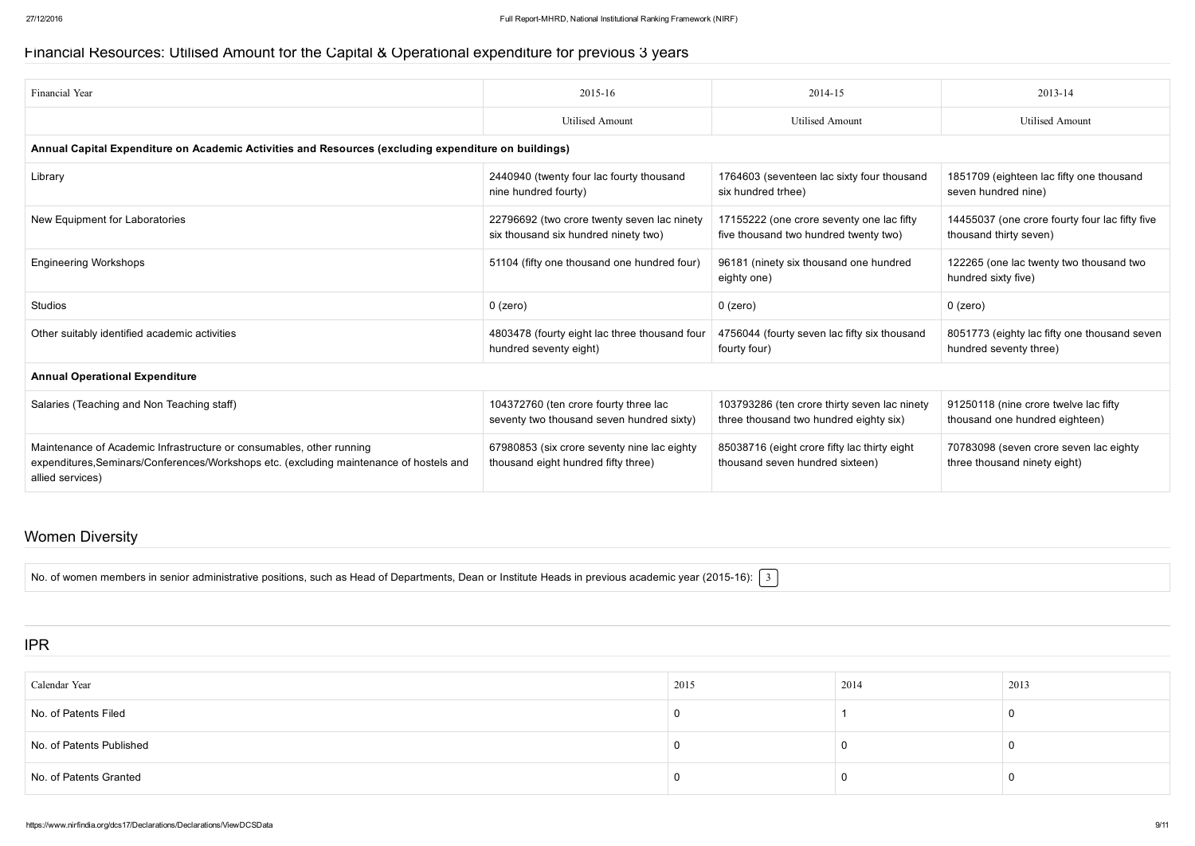#### Financial Resources: Utilised Amount for the Capital & Operational expenditure for previous 3 years

| Financial Year                                                                                                                                                                      | 2015-16                                                                             | 2014-15                                                                                | 2013-14                                                                  |  |  |  |  |
|-------------------------------------------------------------------------------------------------------------------------------------------------------------------------------------|-------------------------------------------------------------------------------------|----------------------------------------------------------------------------------------|--------------------------------------------------------------------------|--|--|--|--|
|                                                                                                                                                                                     | <b>Utilised Amount</b>                                                              | Utilised Amount                                                                        | <b>Utilised Amount</b>                                                   |  |  |  |  |
| Annual Capital Expenditure on Academic Activities and Resources (excluding expenditure on buildings)                                                                                |                                                                                     |                                                                                        |                                                                          |  |  |  |  |
| Library                                                                                                                                                                             | 2440940 (twenty four lac fourty thousand<br>nine hundred fourty)                    | 1764603 (seventeen lac sixty four thousand<br>six hundred trhee)                       | 1851709 (eighteen lac fifty one thousand<br>seven hundred nine)          |  |  |  |  |
| New Equipment for Laboratories                                                                                                                                                      | 22796692 (two crore twenty seven lac ninety<br>six thousand six hundred ninety two) | 17155222 (one crore seventy one lac fifty<br>five thousand two hundred twenty two)     | 14455037 (one crore fourty four lac fifty five<br>thousand thirty seven) |  |  |  |  |
| <b>Engineering Workshops</b>                                                                                                                                                        | 51104 (fifty one thousand one hundred four)                                         | 96181 (ninety six thousand one hundred<br>eighty one)                                  | 122265 (one lac twenty two thousand two<br>hundred sixty five)           |  |  |  |  |
| <b>Studios</b>                                                                                                                                                                      | $0$ (zero)                                                                          | $0$ (zero)                                                                             | $0$ (zero)                                                               |  |  |  |  |
| Other suitably identified academic activities                                                                                                                                       | 4803478 (fourty eight lac three thousand four<br>hundred seventy eight)             | 4756044 (fourty seven lac fifty six thousand<br>fourty four)                           | 8051773 (eighty lac fifty one thousand seven<br>hundred seventy three)   |  |  |  |  |
| <b>Annual Operational Expenditure</b>                                                                                                                                               |                                                                                     |                                                                                        |                                                                          |  |  |  |  |
| Salaries (Teaching and Non Teaching staff)                                                                                                                                          | 104372760 (ten crore fourty three lac<br>seventy two thousand seven hundred sixty)  | 103793286 (ten crore thirty seven lac ninety<br>three thousand two hundred eighty six) | 91250118 (nine crore twelve lac fifty<br>thousand one hundred eighteen)  |  |  |  |  |
| Maintenance of Academic Infrastructure or consumables, other running<br>expenditures, Seminars/Conferences/Workshops etc. (excluding maintenance of hostels and<br>allied services) | 67980853 (six crore seventy nine lac eighty<br>thousand eight hundred fifty three)  | 85038716 (eight crore fifty lac thirty eight<br>thousand seven hundred sixteen)        | 70783098 (seven crore seven lac eighty<br>three thousand ninety eight)   |  |  |  |  |

#### Women Diversity

No. of women members in senior administrative positions, such as Head of Departments, Dean or Institute Heads in previous academic year (2015-16):  $\lceil 3 \rceil$ 

#### IPR

| Calendar Year            | 2015 | 2014 | 2013 |
|--------------------------|------|------|------|
| No. of Patents Filed     |      |      |      |
| No. of Patents Published |      |      |      |
| No. of Patents Granted   |      |      |      |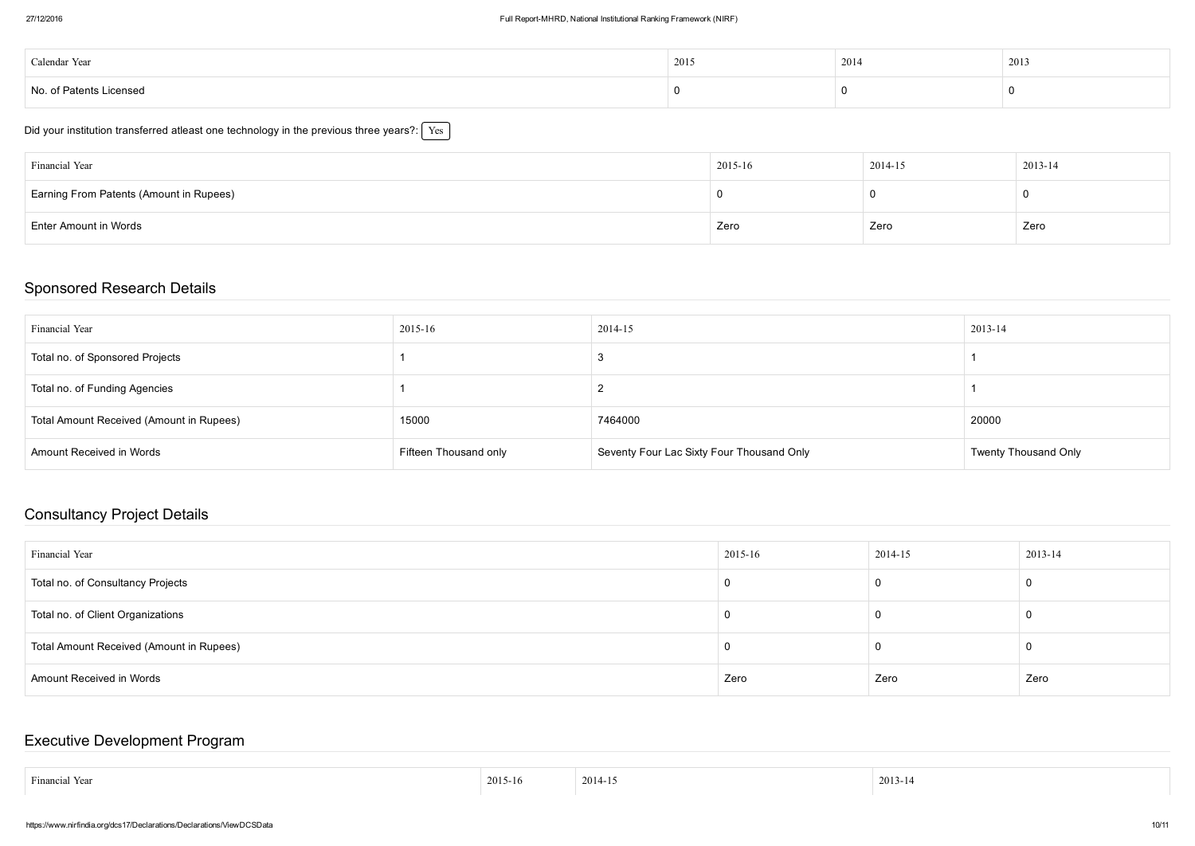| Calendar Year           | 2015 | 2014 | 2013 |
|-------------------------|------|------|------|
| No. of Patents Licensed |      |      |      |

| Did your institution transferred atleast one technology in the previous three years?: $\mid$ Y $\rm es$ |  |
|---------------------------------------------------------------------------------------------------------|--|
|---------------------------------------------------------------------------------------------------------|--|

| Financial Year                          | 2015-16 | 2014-15 | 2013-14 |
|-----------------------------------------|---------|---------|---------|
| Earning From Patents (Amount in Rupees) |         |         |         |
| <b>Enter Amount in Words</b>            | Zero    | Zero    | Zero    |

#### Sponsored Research Details

| Financial Year                           | 2015-16               | 2014-15                                   | 2013-14                     |
|------------------------------------------|-----------------------|-------------------------------------------|-----------------------------|
| Total no. of Sponsored Projects          |                       |                                           |                             |
| Total no. of Funding Agencies            |                       |                                           |                             |
| Total Amount Received (Amount in Rupees) | 15000                 | 7464000                                   | 20000                       |
| <b>Amount Received in Words</b>          | Fifteen Thousand only | Seventy Four Lac Sixty Four Thousand Only | <b>Twenty Thousand Only</b> |

## Consultancy Project Details

| Financial Year                           | $ 2015-16$ | 2014-15 | 2013-14 |
|------------------------------------------|------------|---------|---------|
| Total no. of Consultancy Projects        |            |         |         |
| Total no. of Client Organizations        |            |         |         |
| Total Amount Received (Amount in Rupees) |            |         |         |
| <b>Amount Received in Words</b>          | Zero       | Zero    | Zero    |

### Executive Development Program

| $\mathbf{r}$<br>.<br>Hinancial Yea. | 2015-16 | 2014<br>. | 201<br>$- - - - -$ |
|-------------------------------------|---------|-----------|--------------------|
|                                     |         |           |                    |